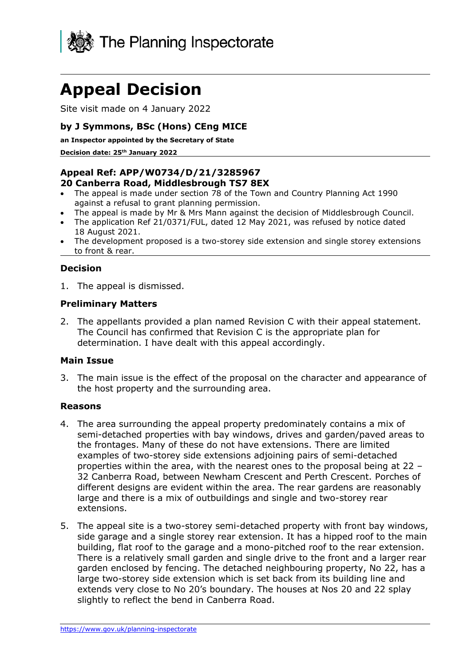

# **Appeal Decision**

Site visit made on 4 January 2022

# **by J Symmons, BSc (Hons) CEng MICE**

**an Inspector appointed by the Secretary of State** 

**Decision date: 25th January 2022**

#### **Appeal Ref: APP/W0734/D/21/3285967 20 Canberra Road, Middlesbrough TS7 8EX**

- The appeal is made under section 78 of the Town and Country Planning Act 1990 against a refusal to grant planning permission.
- The appeal is made by Mr & Mrs Mann against the decision of Middlesbrough Council.
- The application Ref 21/0371/FUL, dated 12 May 2021, was refused by notice dated 18 August 2021.
- The development proposed is a two-storey side extension and single storey extensions to front & rear.

# **Decision**

1. The appeal is dismissed.

## **Preliminary Matters**

2. The appellants provided a plan named Revision C with their appeal statement. The Council has confirmed that Revision C is the appropriate plan for determination. I have dealt with this appeal accordingly.

## **Main Issue**

3. The main issue is the effect of the proposal on the character and appearance of the host property and the surrounding area.

## **Reasons**

- 4. The area surrounding the appeal property predominately contains a mix of semi-detached properties with bay windows, drives and garden/paved areas to the frontages. Many of these do not have extensions. There are limited examples of two-storey side extensions adjoining pairs of semi-detached properties within the area, with the nearest ones to the proposal being at 22 – 32 Canberra Road, between Newham Crescent and Perth Crescent. Porches of different designs are evident within the area. The rear gardens are reasonably large and there is a mix of outbuildings and single and two-storey rear extensions.
- 5. The appeal site is a two-storey semi-detached property with front bay windows, side garage and a single storey rear extension. It has a hipped roof to the main building, flat roof to the garage and a mono-pitched roof to the rear extension. There is a relatively small garden and single drive to the front and a larger rear garden enclosed by fencing. The detached neighbouring property, No 22, has a large two-storey side extension which is set back from its building line and extends very close to No 20's boundary. The houses at Nos 20 and 22 splay slightly to reflect the bend in Canberra Road.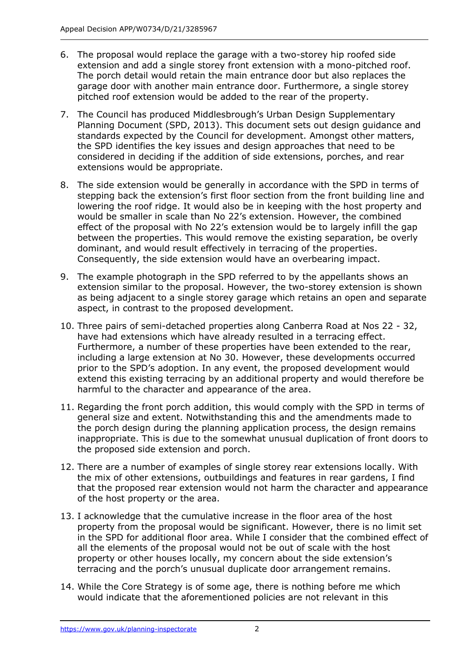- 6. The proposal would replace the garage with a two-storey hip roofed side extension and add a single storey front extension with a mono-pitched roof. The porch detail would retain the main entrance door but also replaces the garage door with another main entrance door. Furthermore, a single storey pitched roof extension would be added to the rear of the property.
- 7. The Council has produced Middlesbrough's Urban Design Supplementary Planning Document (SPD, 2013). This document sets out design guidance and standards expected by the Council for development. Amongst other matters, the SPD identifies the key issues and design approaches that need to be considered in deciding if the addition of side extensions, porches, and rear extensions would be appropriate.
- 8. The side extension would be generally in accordance with the SPD in terms of stepping back the extension's first floor section from the front building line and lowering the roof ridge. It would also be in keeping with the host property and would be smaller in scale than No 22's extension. However, the combined effect of the proposal with No 22's extension would be to largely infill the gap between the properties. This would remove the existing separation, be overly dominant, and would result effectively in terracing of the properties. Consequently, the side extension would have an overbearing impact.
- 9. The example photograph in the SPD referred to by the appellants shows an extension similar to the proposal. However, the two-storey extension is shown as being adjacent to a single storey garage which retains an open and separate aspect, in contrast to the proposed development.
- 10. Three pairs of semi-detached properties along Canberra Road at Nos 22 32, have had extensions which have already resulted in a terracing effect. Furthermore, a number of these properties have been extended to the rear, including a large extension at No 30. However, these developments occurred prior to the SPD's adoption. In any event, the proposed development would extend this existing terracing by an additional property and would therefore be harmful to the character and appearance of the area.
- 11. Regarding the front porch addition, this would comply with the SPD in terms of general size and extent. Notwithstanding this and the amendments made to the porch design during the planning application process, the design remains inappropriate. This is due to the somewhat unusual duplication of front doors to the proposed side extension and porch.
- 12. There are a number of examples of single storey rear extensions locally. With the mix of other extensions, outbuildings and features in rear gardens, I find that the proposed rear extension would not harm the character and appearance of the host property or the area.
- 13. I acknowledge that the cumulative increase in the floor area of the host property from the proposal would be significant. However, there is no limit set in the SPD for additional floor area. While I consider that the combined effect of all the elements of the proposal would not be out of scale with the host property or other houses locally, my concern about the side extension's terracing and the porch's unusual duplicate door arrangement remains.
- 14. While the Core Strategy is of some age, there is nothing before me which would indicate that the aforementioned policies are not relevant in this